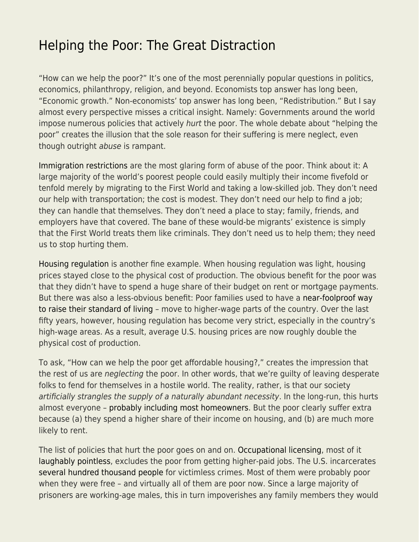## [Helping the Poor: The Great Distraction](https://everything-voluntary.com/helping-the-poor-the-great-distraction)

"How can we help the poor?" It's one of the most perennially popular questions in politics, economics, philanthropy, religion, and beyond. Economists top answer has long been, "Economic growth." Non-economists' top answer has long been, "Redistribution." But I say almost every perspective misses a critical insight. Namely: Governments around the world impose numerous policies that actively hurt the poor. The whole debate about "helping the poor" creates the illusion that the sole reason for their suffering is mere neglect, even though outright abuse is rampant.

[Immigration restrictions](http://smbc-comics.com/openborders/) are the most glaring form of abuse of the poor. Think about it: A large majority of the world's poorest people could easily multiply their income fivefold or tenfold merely by migrating to the First World and taking a low-skilled job. They don't need our help with transportation; the cost is modest. They don't need our help to find a job; they can handle that themselves. They don't need a place to stay; family, friends, and employers have that covered. The bane of these would-be migrants' existence is simply that the First World treats them like criminals. They don't need us to help them; they need us to stop hurting them.

[Housing regulation](https://www.econlib.org/?p=54657) is another fine example. When housing regulation was light, housing prices stayed close to the physical cost of production. The obvious benefit for the poor was that they didn't have to spend a huge share of their budget on rent or mortgage payments. But there was also a less-obvious benefit: Poor families used to have a [near-foolproof way](https://www.sciencedirect.com/science/article/pii/S0094119017300591) [to raise their standard of living](https://www.sciencedirect.com/science/article/pii/S0094119017300591) – move to higher-wage parts of the country. Over the last fifty years, however, housing regulation has become very strict, especially in the country's high-wage areas. As a result, average U.S. housing prices are now roughly double the physical cost of production.

To ask, "How can we help the poor get affordable housing?," creates the impression that the rest of us are neglecting the poor. In other words, that we're guilty of leaving desperate folks to fend for themselves in a hostile world. The reality, rather, is that our society artificially strangles the supply of a naturally abundant necessity. In the long-run, this hurts almost everyone – [probably including most homeowners](http://econlib.org/deludedly-deeming-deregulation-a-disaster/). But the poor clearly suffer extra because (a) they spend a higher share of their income on housing, and (b) are much more likely to rent.

The list of policies that hurt the poor goes on and on. [Occupational licensing,](https://www.bls.gov/opub/mlr/2019/article/professional-certifications-and-occupational-licenses.htm) most of it [laughably pointless,](https://www.econlib.org/archives/2009/05/i_repent_i_shal.html) excludes the poor from getting higher-paid jobs. The U.S. incarcerates [several hundred thousand people](https://www.prisonpolicy.org/reports/pie2020.html) for victimless crimes. Most of them were probably poor when they were free – and virtually all of them are poor now. Since a large majority of prisoners are working-age males, this in turn impoverishes any family members they would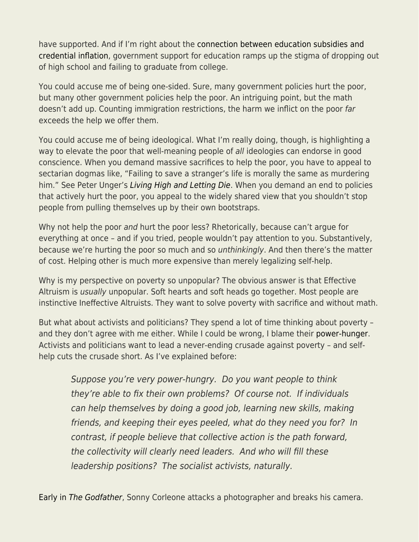have supported. And if I'm right about the [connection between education subsidies and](https://www.amazon.com/Case-against-Education-System-Waste/dp/0691174652/ref=as_sl_pc_qf_sp_asin_til?tag=bryacaplwebp-20&linkCode=w00&linkId=2a0c58e873ed68d8abd86c1449dd0968&creativeASIN=0691174652) [credential inflation](https://www.amazon.com/Case-against-Education-System-Waste/dp/0691174652/ref=as_sl_pc_qf_sp_asin_til?tag=bryacaplwebp-20&linkCode=w00&linkId=2a0c58e873ed68d8abd86c1449dd0968&creativeASIN=0691174652), government support for education ramps up the stigma of dropping out of high school and failing to graduate from college.

You could accuse me of being one-sided. Sure, many government policies hurt the poor, but many other government policies help the poor. An intriguing point, but the math doesn't add up. Counting immigration restrictions, the harm we inflict on the poor far exceeds the help we offer them.

You could accuse me of being ideological. What I'm really doing, though, is highlighting a way to elevate the poor that well-meaning people of all ideologies can endorse in good conscience. When you demand massive sacrifices to help the poor, you have to appeal to sectarian dogmas like, "Failing to save a stranger's life is morally the same as murdering him." See Peter Unger's [Living High and Letting Die](https://www.amazon.com/Living-High-Letting-Die-Innocence/dp/0195108590/ref=sr_1_1?keywords=living+high+and+letting+die&qid=1645823711&sprefix=living+high+and%2Caps%2C37&sr=8-1). When you demand an end to policies that actively hurt the poor, you appeal to the widely shared view that you shouldn't stop people from pulling themselves up by their own bootstraps.

Why not help the poor and hurt the poor less? Rhetorically, because can't argue for everything at once – and if you tried, people wouldn't pay attention to you. Substantively, because we're hurting the poor so much and so unthinkingly. And then there's the matter of cost. Helping other is much more expensive than merely legalizing self-help.

Why is my perspective on poverty so unpopular? The obvious answer is that Effective Altruism is usually unpopular. Soft hearts and soft heads go together. Most people are instinctive Ineffective Altruists. They want to solve poverty with sacrifice and without math.

But what about activists and politicians? They spend a lot of time thinking about poverty – and they don't agree with me either. While I could be wrong, I blame their [power-hunger.](http://www.econlib.org/power-hunger/) Activists and politicians want to lead a never-ending crusade against poverty – and selfhelp cuts the crusade short. As I've explained before:

Suppose you're very power-hungry. Do you want people to think they're able to fix their own problems? Of course not. If individuals can help themselves by doing a good job, learning new skills, making friends, and keeping their eyes peeled, what do they need you for? In contrast, if people believe that collective action is the path forward, the collectivity will clearly need leaders. And who will fill these leadership positions? The socialist activists, naturally.

[Early in](https://www.dailymotion.com/video/x4dyi2m) [The Godfather](https://www.dailymotion.com/video/x4dyi2m), Sonny Corleone attacks a photographer and breaks his camera.